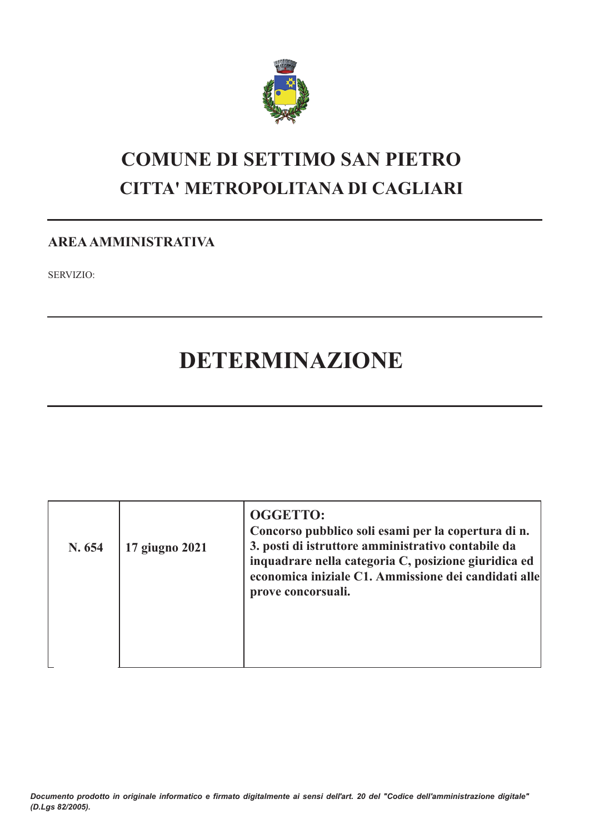

# **COMUNE DI SETTIMO SAN PIETRO CITTA' METROPOLITANA DI CAGLIARI**

# **AREA AMMINISTRATIVA**

**SERVIZIO:** 

# DETERMINAZIONE

| N. 654 | 17 giugno 2021 | <b>OGGETTO:</b><br>Concorso pubblico soli esami per la copertura di n.<br>3. posti di istruttore amministrativo contabile da<br>inquadrare nella categoria C, posizione giuridica ed<br>economica iniziale C1. Ammissione dei candidati alle<br>prove concorsuali. |
|--------|----------------|--------------------------------------------------------------------------------------------------------------------------------------------------------------------------------------------------------------------------------------------------------------------|
|        |                |                                                                                                                                                                                                                                                                    |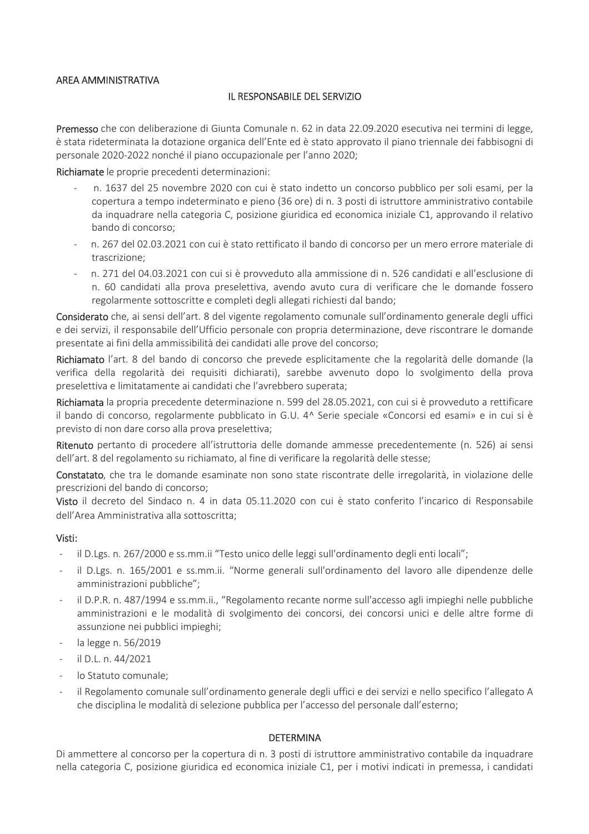### AREA AMMINISTRATIVA

### IL RESPONSABILE DEL SERVIZIO

Premesso che con deliberazione di Giunta Comunale n. 62 in data 22.09.2020 esecutiva nei termini di legge, è stata rideterminata la dotazione organica dell'Ente ed è stato approvato il piano triennale dei fabbisogni di personale 2020-2022 nonché il piano occupazionale per l'anno 2020;

Richiamate le proprie precedenti determinazioni:

- n. 1637 del 25 novembre 2020 con cui è stato indetto un concorso pubblico per soli esami, per la copertura a tempo indeterminato e pieno (36 ore) di n. 3 posti di istruttore amministrativo contabile da inquadrare nella categoria C, posizione giuridica ed economica iniziale C1, approvando il relativo bando di concorso;
- n. 267 del 02.03.2021 con cui è stato rettificato il bando di concorso per un mero errore materiale di trascrizione:
- n. 271 del 04.03.2021 con cui si è provveduto alla ammissione di n. 526 candidati e all'esclusione di n. 60 candidati alla prova preselettiva, avendo avuto cura di verificare che le domande fossero regolarmente sottoscritte e completi degli allegati richiesti dal bando;

Considerato che, ai sensi dell'art. 8 del vigente regolamento comunale sull'ordinamento generale degli uffici e dei servizi, il responsabile dell'Ufficio personale con propria determinazione, deve riscontrare le domande presentate ai fini della ammissibilità dei candidati alle prove del concorso;

Richiamato l'art. 8 del bando di concorso che prevede esplicitamente che la regolarità delle domande (la verifica della regolarità dei requisiti dichiarati), sarebbe avvenuto dopo lo svolgimento della prova preselettiva e limitatamente ai candidati che l'avrebbero superata:

Richiamata la propria precedente determinazione n. 599 del 28.05.2021, con cui si è provveduto a rettificare il bando di concorso, regolarmente pubblicato in G.U. 4^ Serie speciale «Concorsi ed esami» e in cui si è previsto di non dare corso alla prova preselettiva;

Ritenuto pertanto di procedere all'istruttoria delle domande ammesse precedentemente (n. 526) ai sensi dell'art. 8 del regolamento su richiamato, al fine di verificare la regolarità delle stesse;

Constatato, che tra le domande esaminate non sono state riscontrate delle irregolarità, in violazione delle prescrizioni del bando di concorso;

Visto il decreto del Sindaco n. 4 in data 05.11.2020 con cui è stato conferito l'incarico di Responsabile dell'Area Amministrativa alla sottoscritta;

#### Visti:

- il D.Lgs. n. 267/2000 e ss.mm.ii "Testo unico delle leggi sull'ordinamento degli enti locali";
- il D.Lgs. n. 165/2001 e ss.mm.ii. "Norme generali sull'ordinamento del lavoro alle dipendenze delle  $\omega$  . amministrazioni pubbliche";
- il D.P.R. n. 487/1994 e ss.mm.ii., "Regolamento recante norme sull'accesso agli impieghi nelle pubbliche amministrazioni e le modalità di svolgimento dei concorsi, dei concorsi unici e delle altre forme di assunzione nei pubblici impieghi;
- la legge n. 56/2019
- $i$ l D.L. n. 44/2021
- lo Statuto comunale:
- il Regolamento comunale sull'ordinamento generale degli uffici e dei servizi e nello specifico l'allegato A che disciplina le modalità di selezione pubblica per l'accesso del personale dall'esterno;

#### **DETERMINA**

Di ammettere al concorso per la copertura di n. 3 posti di istruttore amministrativo contabile da inquadrare nella categoria C, posizione giuridica ed economica iniziale C1, per i motivi indicati in premessa, i candidati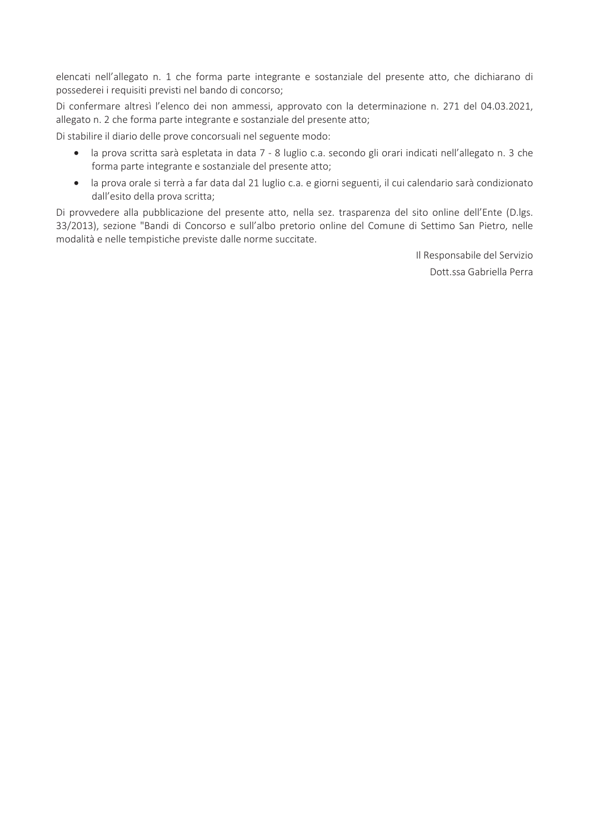elencati nell'allegato n. 1 che forma parte integrante e sostanziale del presente atto, che dichiarano di possederei i requisiti previsti nel bando di concorso;

Di confermare altresì l'elenco dei non ammessi, approvato con la determinazione n. 271 del 04.03.2021, allegato n. 2 che forma parte integrante e sostanziale del presente atto;

Di stabilire il diario delle prove concorsuali nel seguente modo:

- la prova scritta sarà espletata in data 7 8 luglio c.a. secondo gli orari indicati nell'allegato n. 3 che  $\bullet$ forma parte integrante e sostanziale del presente atto;
- · la prova orale si terrà a far data dal 21 luglio c.a. e giorni seguenti, il cui calendario sarà condizionato dall'esito della prova scritta;

Di provvedere alla pubblicazione del presente atto, nella sez. trasparenza del sito online dell'Ente (D.lgs. 33/2013), sezione "Bandi di Concorso e sull'albo pretorio online del Comune di Settimo San Pietro, nelle modalità e nelle tempistiche previste dalle norme succitate.

> Il Responsabile del Servizio Dott.ssa Gabriella Perra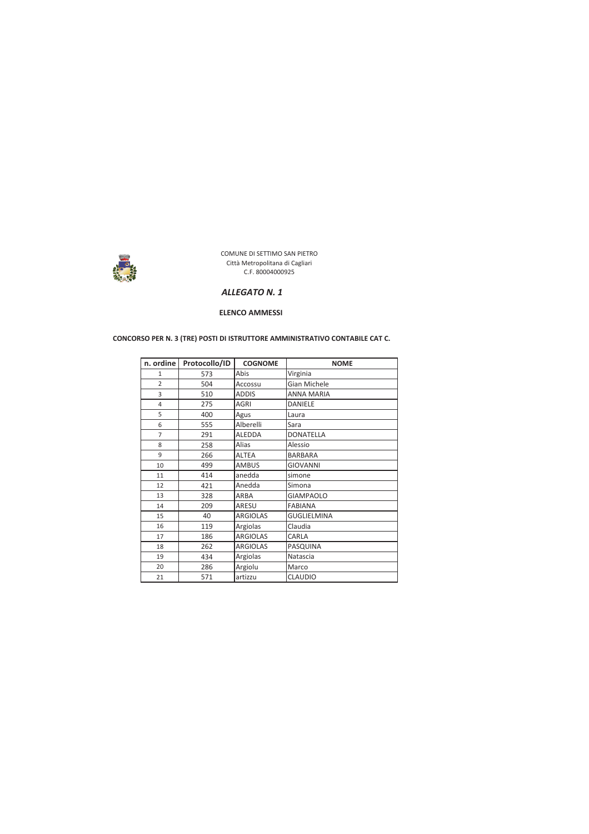

#### ALLEGATO N. 1

#### **ELENCO AMMESSI**

#### CONCORSO PER N. 3 (TRE) POSTI DI ISTRUTTORE AMMINISTRATIVO CONTABILE CAT C.

| n. ordine      | Protocollo/ID | <b>COGNOME</b>  | <b>NOME</b>        |
|----------------|---------------|-----------------|--------------------|
| $\mathbf{1}$   | 573           | Abis            | Virginia           |
| $\overline{2}$ | 504           | Accossu         | Gian Michele       |
| 3              | 510           | <b>ADDIS</b>    | <b>ANNA MARIA</b>  |
| 4              | 275           | <b>AGRI</b>     | <b>DANIELE</b>     |
| 5              | 400           | Agus            | Laura              |
| 6              | 555           | Alberelli       | Sara               |
| 7              | 291           | <b>ALEDDA</b>   | <b>DONATELLA</b>   |
| 8              | 258           | Alias           | Alessio            |
| 9              | 266           | <b>ALTEA</b>    | <b>BARBARA</b>     |
| 10             | 499           | <b>AMBUS</b>    | <b>GIOVANNI</b>    |
| 11             | 414           | anedda          | simone             |
| 12             | 421           | Anedda          | Simona             |
| 13             | 328           | ARBA            | <b>GIAMPAOLO</b>   |
| 14             | 209           | ARESU           | <b>FABIANA</b>     |
| 15             | 40            | <b>ARGIOLAS</b> | <b>GUGLIELMINA</b> |
| 16             | 119           | Argiolas        | Claudia            |
| 17             | 186           | <b>ARGIOLAS</b> | CARLA              |
| 18             | 262           | <b>ARGIOLAS</b> | PASQUINA           |
| 19             | 434           | Argiolas        | Natascia           |
| 20             | 286           | Argiolu         | Marco              |
| 21             | 571           | artizzu         | <b>CLAUDIO</b>     |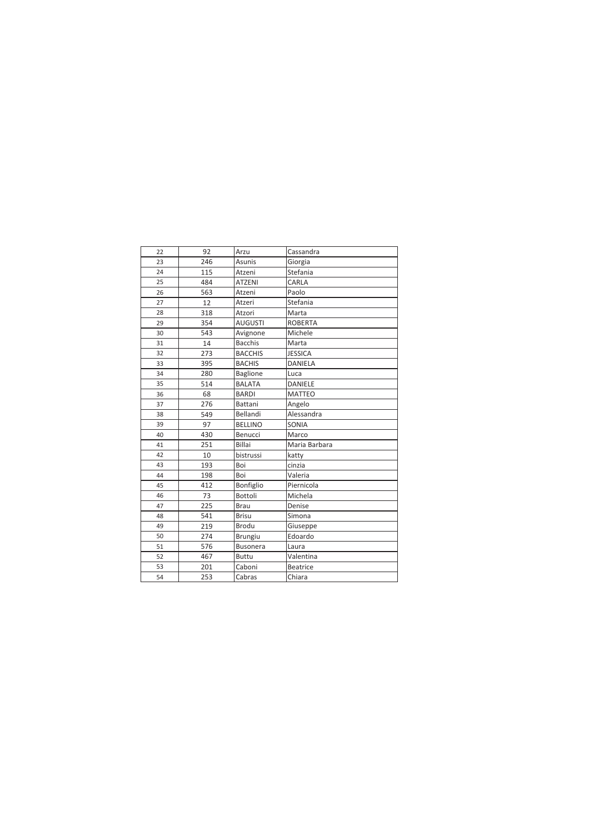| 22 | 92  | Arzu            | Cassandra       |
|----|-----|-----------------|-----------------|
| 23 | 246 | <b>Asunis</b>   | Giorgia         |
| 24 | 115 | Atzeni          | Stefania        |
| 25 | 484 | <b>ATZENI</b>   | CARLA           |
| 26 | 563 | Atzeni          | Paolo           |
| 27 | 12  | Atzeri          | Stefania        |
| 28 | 318 | Atzori          | Marta           |
| 29 | 354 | <b>AUGUSTI</b>  | <b>ROBERTA</b>  |
| 30 | 543 | Avignone        | Michele         |
| 31 | 14  | <b>Bacchis</b>  | Marta           |
| 32 | 273 | <b>BACCHIS</b>  | <b>JESSICA</b>  |
| 33 | 395 | <b>BACHIS</b>   | DANIELA         |
| 34 | 280 | <b>Baglione</b> | Luca            |
| 35 | 514 | <b>BALATA</b>   | <b>DANIELE</b>  |
| 36 | 68  | <b>BARDI</b>    | <b>MATTEO</b>   |
| 37 | 276 | Battani         | Angelo          |
| 38 | 549 | Bellandi        | Alessandra      |
| 39 | 97  | <b>BELLINO</b>  | SONIA           |
| 40 | 430 | Benucci         | Marco           |
| 41 | 251 | <b>Billai</b>   | Maria Barbara   |
| 42 | 10  | bistrussi       | katty           |
| 43 | 193 | Boi             | cinzia          |
| 44 | 198 | Boi             | Valeria         |
| 45 | 412 | Bonfiglio       | Piernicola      |
| 46 | 73  | Bottoli         | Michela         |
| 47 | 225 | <b>Brau</b>     | Denise          |
| 48 | 541 | <b>Brisu</b>    | Simona          |
| 49 | 219 | Brodu           | Giuseppe        |
| 50 | 274 | <b>Brungiu</b>  | Edoardo         |
| 51 | 576 | <b>Busonera</b> | Laura           |
| 52 | 467 | <b>Buttu</b>    | Valentina       |
| 53 | 201 | Caboni          | <b>Beatrice</b> |
| 54 | 253 | Cabras          | Chiara          |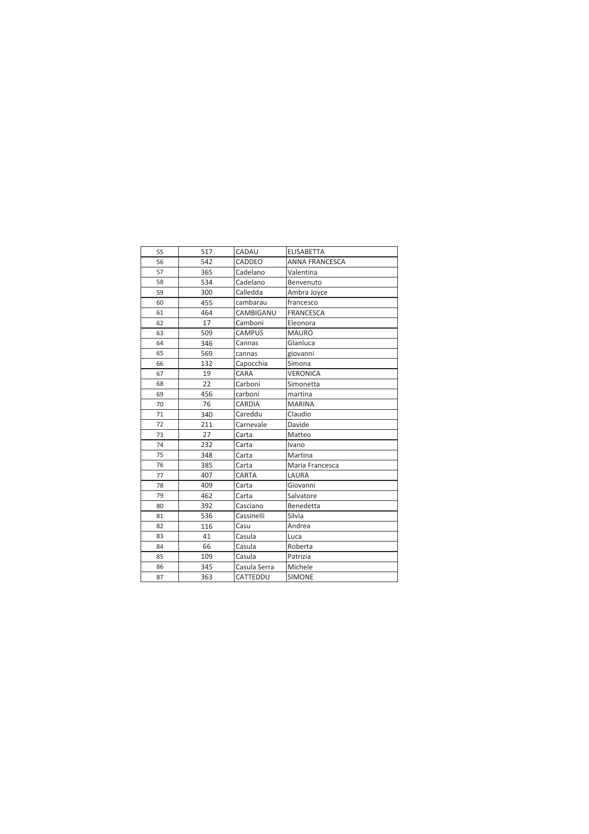| 55 | 517 | CADAU         | <b>ELISABETTA</b>     |
|----|-----|---------------|-----------------------|
| 56 | 542 | CADDEO        | <b>ANNA FRANCESCA</b> |
| 57 | 365 | Cadelano      | Valentina             |
| 58 | 534 | Cadelano      | Benvenuto             |
| 59 | 300 | Calledda      | Ambra Joyce           |
| 60 | 455 | cambarau      | francesco             |
| 61 | 464 | CAMBIGANU     | <b>FRANCESCA</b>      |
| 62 | 17  | Camboni       | Eleonora              |
| 63 | 509 | <b>CAMPUS</b> | <b>MAURO</b>          |
| 64 | 346 | Cannas        | Glanluca              |
| 65 | 569 | cannas        | giovanni              |
| 66 | 132 | Capocchia     | Simona                |
| 67 | 19  | CARA          | <b>VERONICA</b>       |
| 68 | 22  | Carboni       | Simonetta             |
| 69 | 456 | carboni       | martina               |
| 70 | 76  | CARDIA        | <b>MARINA</b>         |
| 71 | 340 | Careddu       | Claudio               |
| 72 | 211 | Carnevale     | Davide                |
| 73 | 27  | Carta         | Matteo                |
| 74 | 232 | Carta         | Ivano                 |
| 75 | 348 | Carta         | Martina               |
| 76 | 385 | Carta         | Maria Francesca       |
| 77 | 407 | CARTA         | LAURA                 |
| 78 | 409 | Carta         | Giovanni              |
| 79 | 462 | Carta         | Salvatore             |
| 80 | 392 | Casciano      | Benedetta             |
| 81 | 536 | Cassinelli    | Silvia                |
| 82 | 116 | Casu          | Andrea                |
| 83 | 41  | Casula        | Luca                  |
| 84 | 66  | Casula        | Roberta               |
| 85 | 109 | Casula        | Patrizia              |
| 86 | 345 | Casula Serra  | Michele               |
| 87 | 363 | CATTEDDU      | <b>SIMONE</b>         |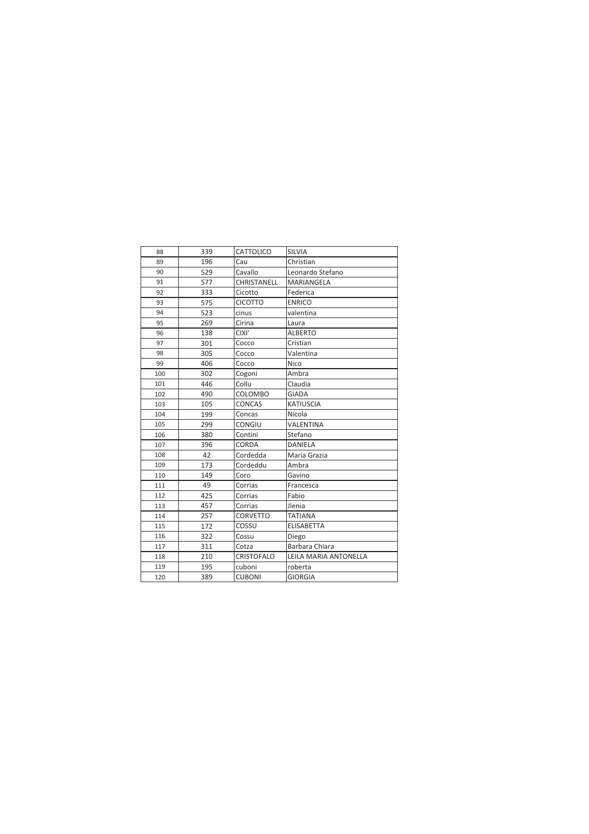| 88  | 339 | CATTOLICO         | <b>SILVIA</b>         |
|-----|-----|-------------------|-----------------------|
| 89  | 196 | Cau               | Christian             |
| 90  | 529 | Cavallo           | Leonardo Stefano      |
| 91  | 577 | CHRISTANELL       | MARIANGELA            |
| 92  | 333 | Cicotto           | Federica              |
| 93  | 575 | <b>CICOTTO</b>    | <b>ENRICO</b>         |
| 94  | 523 | cinus             | valentina             |
| 95  | 269 | Cirina            | Laura                 |
| 96  | 138 | CIXI'             | <b>ALBERTO</b>        |
| 97  | 301 | Cocco             | Cristian              |
| 98  | 305 | Cocco             | Valentina             |
| 99  | 406 | Cocco             | Nico                  |
| 100 | 302 | Cogoni            | Ambra                 |
| 101 | 446 | Collu             | Claudia               |
| 102 | 490 | COLOMBO           | GIADA                 |
| 103 | 105 | <b>CONCAS</b>     | KATIUSCIA             |
| 104 | 199 | Concas            | Nicola                |
| 105 | 299 | CONGIU            | VALENTINA             |
| 106 | 380 | Contini           | Stefano               |
| 107 | 396 | CORDA             | DANIELA               |
| 108 | 42  | Cordedda          | Maria Grazia          |
| 109 | 173 | Cordeddu          | Ambra                 |
| 110 | 149 | Coro              | Gavino                |
| 111 | 49  | Corrias           | Francesca             |
| 112 | 425 | Corrias           | Fabio                 |
| 113 | 457 | Corrias           | Jlenia                |
| 114 | 257 | <b>CORVETTO</b>   | <b>TATIANA</b>        |
| 115 | 172 | COSSU             | <b>ELISABETTA</b>     |
| 116 | 322 | Cossu             | Diego                 |
| 117 | 311 | Cotza             | Barbara Chiara        |
| 118 | 210 | <b>CRISTOFALO</b> | LEILA MARIA ANTONELLA |
| 119 | 195 | cuboni            | roberta               |
| 120 | 389 | <b>CUBONI</b>     | <b>GIORGIA</b>        |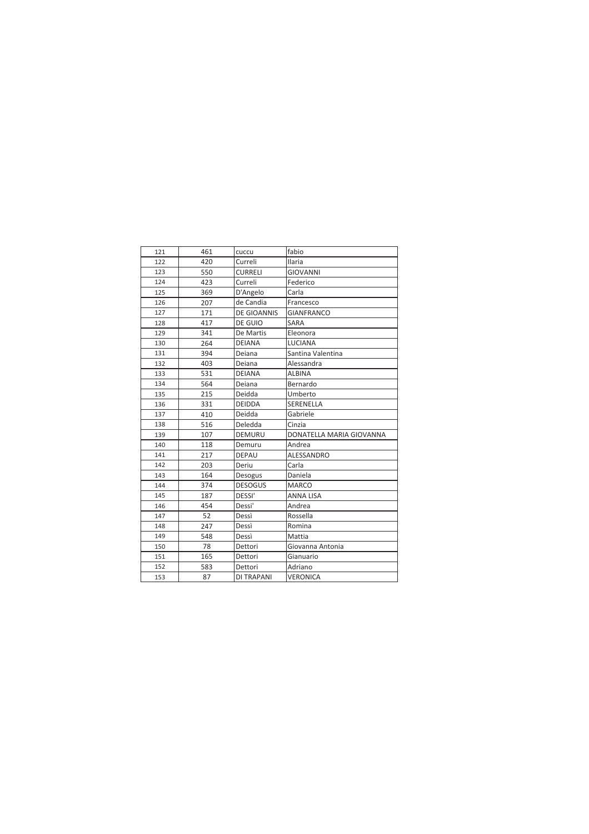| 121 | 461 | cuccu              | fabio                    |
|-----|-----|--------------------|--------------------------|
| 122 | 420 | Curreli            | <b>Ilaria</b>            |
| 123 | 550 | <b>CURRELI</b>     | <b>GIOVANNI</b>          |
| 124 | 423 | Curreli            | Federico                 |
| 125 | 369 | D'Angelo           | Carla                    |
| 126 | 207 | de Candia          | Francesco                |
| 127 | 171 | <b>DE GIOANNIS</b> | <b>GIANFRANCO</b>        |
| 128 | 417 | DE GUIO            | <b>SARA</b>              |
| 129 | 341 | De Martis          | Eleonora                 |
| 130 | 264 | <b>DEIANA</b>      | <b>LUCIANA</b>           |
| 131 | 394 | Deiana             | Santina Valentina        |
| 132 | 403 | Deiana             | Alessandra               |
| 133 | 531 | <b>DEIANA</b>      | <b>ALBINA</b>            |
| 134 | 564 | Deiana             | Bernardo                 |
| 135 | 215 | Deidda             | Umberto                  |
| 136 | 331 | <b>DEIDDA</b>      | SERENELLA                |
| 137 | 410 | Deidda             | Gabriele                 |
| 138 | 516 | Deledda            | Cinzia                   |
| 139 | 107 | <b>DEMURU</b>      | DONATELLA MARIA GIOVANNA |
| 140 | 118 | Demuru             | Andrea                   |
| 141 | 217 | <b>DEPAU</b>       | ALESSANDRO               |
| 142 | 203 | Deriu              | Carla                    |
| 143 | 164 | Desogus            | Daniela                  |
| 144 | 374 | <b>DESOGUS</b>     | <b>MARCO</b>             |
| 145 | 187 | DESSI'             | <b>ANNA LISA</b>         |
| 146 | 454 | Dessi'             | Andrea                   |
| 147 | 52  | Dessì              | Rossella                 |
| 148 | 247 | Dessì              | Romina                   |
| 149 | 548 | Dessì              | Mattia                   |
| 150 | 78  | Dettori            | Giovanna Antonia         |
| 151 | 165 | Dettori            | Gianuario                |
| 152 | 583 | Dettori            | Adriano                  |
| 153 | 87  | DI TRAPANI         | VERONICA                 |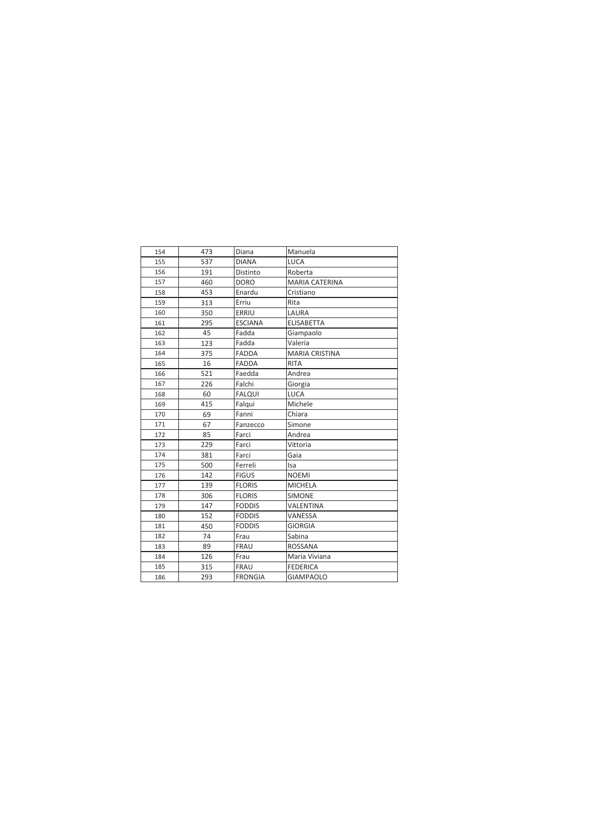| 154 | 473 | Diana          | Manuela               |
|-----|-----|----------------|-----------------------|
| 155 | 537 | <b>DIANA</b>   | <b>LUCA</b>           |
| 156 | 191 | Distinto       | Roberta               |
| 157 | 460 | <b>DORO</b>    | <b>MARIA CATERINA</b> |
| 158 | 453 | Enardu         | Cristiano             |
| 159 | 313 | Erriu          | Rita                  |
| 160 | 350 | ERRIU          | LAURA                 |
| 161 | 295 | <b>ESCIANA</b> | <b>ELISABETTA</b>     |
| 162 | 45  | Fadda          | Giampaolo             |
| 163 | 123 | Fadda          | Valeria               |
| 164 | 375 | <b>FADDA</b>   | <b>MARIA CRISTINA</b> |
| 165 | 16  | <b>FADDA</b>   | <b>RITA</b>           |
| 166 | 521 | Faedda         | Andrea                |
| 167 | 226 | Falchi         | Giorgia               |
| 168 | 60  | <b>FALQUI</b>  | <b>LUCA</b>           |
| 169 | 415 | Falqui         | Michele               |
| 170 | 69  | Fanni          | Chiara                |
| 171 | 67  | Fanzecco       | Simone                |
| 172 | 85  | Farci          | Andrea                |
| 173 | 229 | Farci          | Vittoria              |
| 174 | 381 | Farci          | Gaia                  |
| 175 | 500 | Ferreli        | <b>Isa</b>            |
| 176 | 142 | <b>FIGUS</b>   | <b>NOEMI</b>          |
| 177 | 139 | <b>FLORIS</b>  | <b>MICHELA</b>        |
| 178 | 306 | <b>FLORIS</b>  | <b>SIMONE</b>         |
| 179 | 147 | <b>FODDIS</b>  | VALENTINA             |
| 180 | 152 | <b>FODDIS</b>  | VANESSA               |
| 181 | 450 | <b>FODDIS</b>  | <b>GIORGIA</b>        |
| 182 | 74  | Frau           | Sabina                |
| 183 | 89  | <b>FRAU</b>    | <b>ROSSANA</b>        |
| 184 | 126 | Frau           | Maria Viviana         |
| 185 | 315 | <b>FRAU</b>    | <b>FEDERICA</b>       |
| 186 | 293 | <b>FRONGIA</b> | <b>GIAMPAOLO</b>      |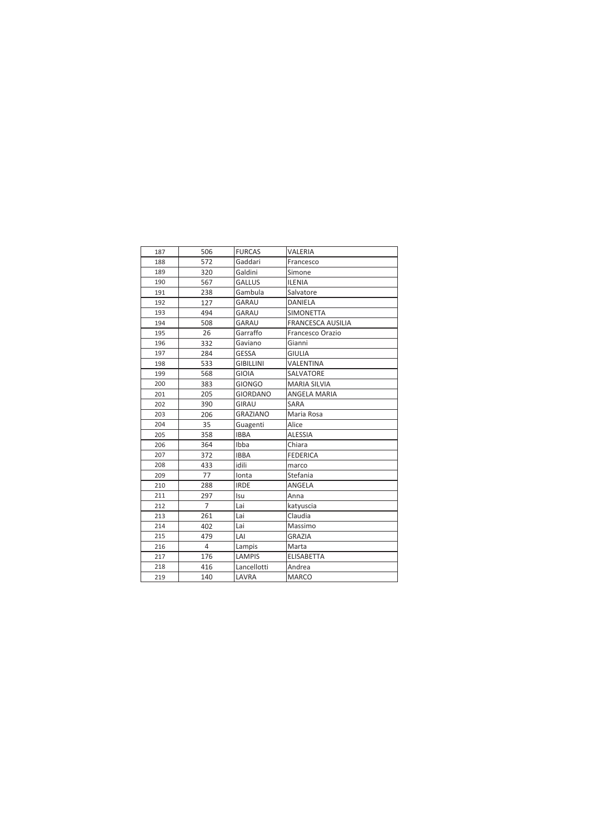| 187 | 506            | <b>FURCAS</b>    | VALERIA                  |
|-----|----------------|------------------|--------------------------|
| 188 | 572            | Gaddari          | Francesco                |
| 189 | 320            | Galdini          | Simone                   |
| 190 | 567            | <b>GALLUS</b>    | <b>ILENIA</b>            |
| 191 | 238            | Gambula          | Salvatore                |
| 192 | 127            | GARAU            | DANIELA                  |
| 193 | 494            | GARAU            | <b>SIMONETTA</b>         |
| 194 | 508            | GARAU            | <b>FRANCESCA AUSILIA</b> |
| 195 | 26             | Garraffo         | Francesco Orazio         |
| 196 | 332            | Gaviano          | Gianni                   |
| 197 | 284            | <b>GESSA</b>     | <b>GIULIA</b>            |
| 198 | 533            | <b>GIBILLINI</b> | VALENTINA                |
| 199 | 568            | GIOIA            | SALVATORE                |
| 200 | 383            | <b>GIONGO</b>    | <b>MARIA SILVIA</b>      |
| 201 | 205            | <b>GIORDANO</b>  | <b>ANGELA MARIA</b>      |
| 202 | 390            | GIRAU            | SARA                     |
| 203 | 206            | <b>GRAZIANO</b>  | Maria Rosa               |
| 204 | 35             | Guagenti         | Alice                    |
| 205 | 358            | <b>IBBA</b>      | <b>ALESSIA</b>           |
| 206 | 364            | Ibba             | Chiara                   |
| 207 | 372            | <b>IBBA</b>      | <b>FEDERICA</b>          |
| 208 | 433            | idili            | marco                    |
| 209 | 77             | Ionta            | Stefania                 |
| 210 | 288            | <b>IRDE</b>      | ANGELA                   |
| 211 | 297            | Isu              | Anna                     |
| 212 | $\overline{7}$ | Lai              | katyuscia                |
| 213 | 261            | Lai              | Claudia                  |
| 214 | 402            | Lai              | Massimo                  |
| 215 | 479            | LAI              | <b>GRAZIA</b>            |
| 216 | 4              | Lampis           | Marta                    |
| 217 | 176            | <b>LAMPIS</b>    | <b>ELISABETTA</b>        |
| 218 | 416            | Lancellotti      | Andrea                   |
| 219 | 140            | LAVRA            | <b>MARCO</b>             |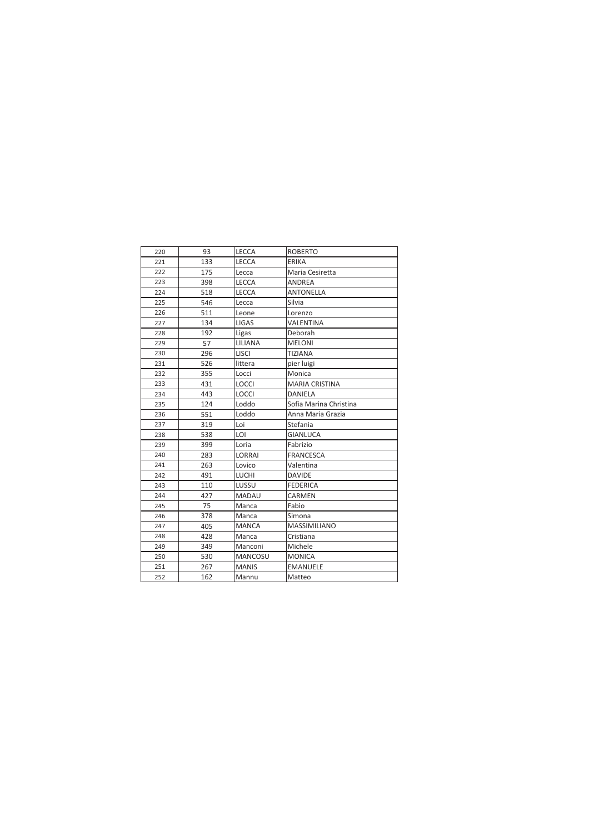| 220 | 93  | <b>LECCA</b>   | <b>ROBERTO</b>         |
|-----|-----|----------------|------------------------|
| 221 | 133 | <b>LECCA</b>   | ERIKA                  |
| 222 | 175 | Lecca          | Maria Cesiretta        |
| 223 | 398 | LECCA          | <b>ANDREA</b>          |
| 224 | 518 | <b>LECCA</b>   | <b>ANTONELLA</b>       |
| 225 | 546 | Lecca          | Silvia                 |
| 226 | 511 | Leone          | Lorenzo                |
| 227 | 134 | LIGAS          | VALENTINA              |
| 228 | 192 | Ligas          | Deborah                |
| 229 | 57  | LILIANA        | <b>MELONI</b>          |
| 230 | 296 | <b>LISCI</b>   | <b>TIZIANA</b>         |
| 231 | 526 | littera        | pier luigi             |
| 232 | 355 | Locci          | Monica                 |
| 233 | 431 | <b>LOCCI</b>   | <b>MARIA CRISTINA</b>  |
| 234 | 443 | <b>LOCCI</b>   | DANIELA                |
| 235 | 124 | Loddo          | Sofia Marina Christina |
| 236 | 551 | Loddo          | Anna Maria Grazia      |
| 237 | 319 | Loi            | Stefania               |
| 238 | 538 | LOI            | <b>GIANLUCA</b>        |
| 239 | 399 | Loria          | Fabrizio               |
| 240 | 283 | LORRAI         | <b>FRANCESCA</b>       |
| 241 | 263 | Lovico         | Valentina              |
| 242 | 491 | <b>LUCHI</b>   | <b>DAVIDE</b>          |
| 243 | 110 | LUSSU          | <b>FEDERICA</b>        |
| 244 | 427 | <b>MADAU</b>   | CARMEN                 |
| 245 | 75  | Manca          | Fabio                  |
| 246 | 378 | Manca          | Simona                 |
| 247 | 405 | <b>MANCA</b>   | <b>MASSIMILIANO</b>    |
| 248 | 428 | Manca          | Cristiana              |
| 249 | 349 | Manconi        | Michele                |
| 250 | 530 | <b>MANCOSU</b> | <b>MONICA</b>          |
| 251 | 267 | <b>MANIS</b>   | <b>EMANUELE</b>        |
| 252 | 162 | Mannu          | Matteo                 |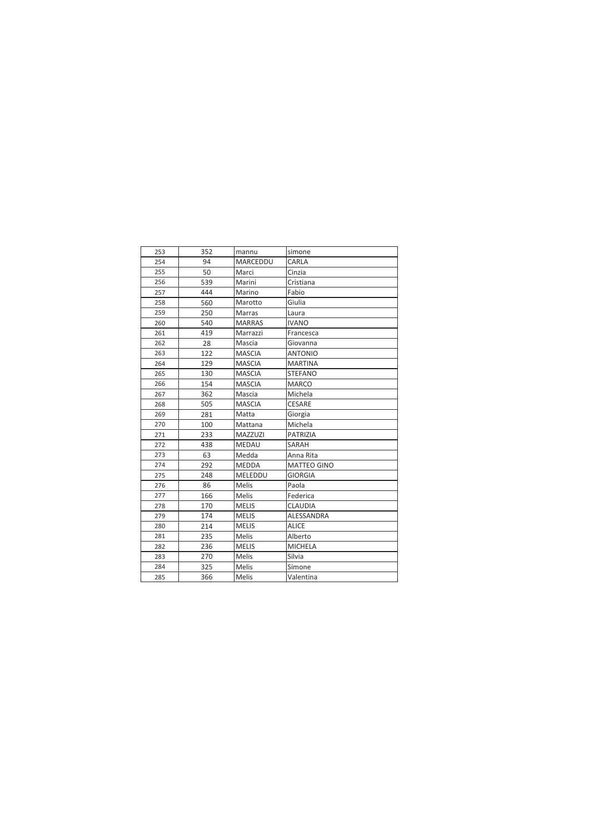| 253 | 352 | mannu           | simone             |
|-----|-----|-----------------|--------------------|
| 254 | 94  | <b>MARCEDDU</b> | CARLA              |
| 255 | 50  | Marci           | Cinzia             |
| 256 | 539 | Marini          | Cristiana          |
| 257 | 444 | Marino          | Fabio              |
| 258 | 560 | Marotto         | Giulia             |
| 259 | 250 | Marras          | Laura              |
| 260 | 540 | <b>MARRAS</b>   | <b>IVANO</b>       |
| 261 | 419 | Marrazzi        | Francesca          |
| 262 | 28  | Mascia          | Giovanna           |
| 263 | 122 | <b>MASCIA</b>   | <b>ANTONIO</b>     |
| 264 | 129 | <b>MASCIA</b>   | <b>MARTINA</b>     |
| 265 | 130 | <b>MASCIA</b>   | <b>STEFANO</b>     |
| 266 | 154 | <b>MASCIA</b>   | <b>MARCO</b>       |
| 267 | 362 | Mascia          | Michela            |
| 268 | 505 | <b>MASCIA</b>   | <b>CESARE</b>      |
| 269 | 281 | Matta           | Giorgia            |
| 270 | 100 | Mattana         | Michela            |
| 271 | 233 | MAZZUZI         | <b>PATRIZIA</b>    |
| 272 | 438 | <b>MEDAU</b>    | SARAH              |
| 273 | 63  | Medda           | Anna Rita          |
| 274 | 292 | <b>MEDDA</b>    | <b>MATTEO GINO</b> |
| 275 | 248 | MELEDDU         | <b>GIORGIA</b>     |
| 276 | 86  | Melis           | Paola              |
| 277 | 166 | <b>Melis</b>    | Federica           |
| 278 | 170 | <b>MELIS</b>    | <b>CLAUDIA</b>     |
| 279 | 174 | <b>MELIS</b>    | ALESSANDRA         |
| 280 | 214 | <b>MELIS</b>    | <b>ALICE</b>       |
| 281 | 235 | <b>Melis</b>    | Alberto            |
| 282 | 236 | <b>MELIS</b>    | <b>MICHELA</b>     |
| 283 | 270 | Melis           | Silvia             |
| 284 | 325 | Melis           | Simone             |
| 285 | 366 | Melis           | Valentina          |
|     |     |                 |                    |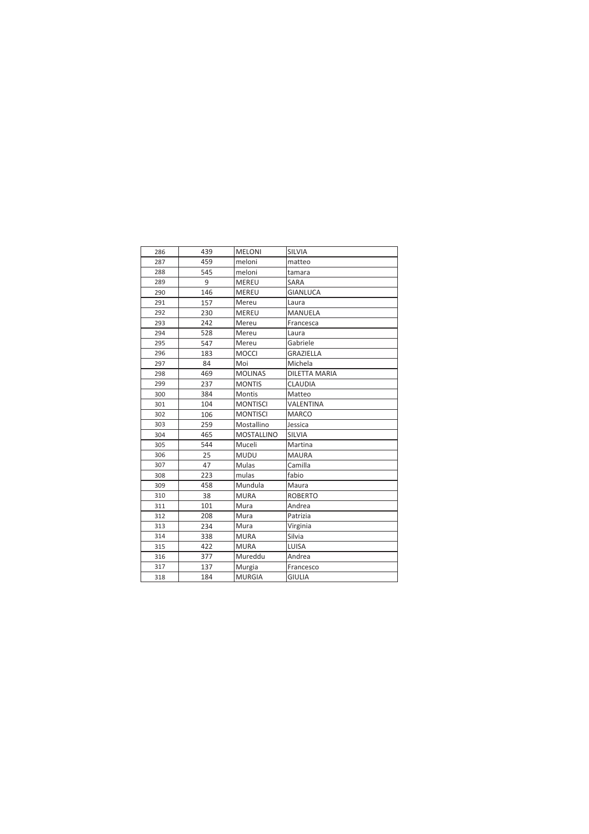| 286 | 439 | <b>MELONI</b>     | <b>SILVIA</b>        |
|-----|-----|-------------------|----------------------|
| 287 | 459 | meloni            | matteo               |
| 288 | 545 | meloni            | tamara               |
| 289 | 9   | <b>MEREU</b>      | <b>SARA</b>          |
| 290 | 146 | <b>MEREU</b>      | <b>GIANLUCA</b>      |
| 291 | 157 | Mereu             | Laura                |
| 292 | 230 | MEREU             | <b>MANUELA</b>       |
| 293 | 242 | Mereu             | Francesca            |
| 294 | 528 | Mereu             | Laura                |
| 295 | 547 | Mereu             | Gabriele             |
| 296 | 183 | <b>MOCCI</b>      | <b>GRAZIELLA</b>     |
| 297 | 84  | Moi               | Michela              |
| 298 | 469 | <b>MOLINAS</b>    | <b>DILETTA MARIA</b> |
| 299 | 237 | <b>MONTIS</b>     | <b>CLAUDIA</b>       |
| 300 | 384 | <b>Montis</b>     | Matteo               |
| 301 | 104 | <b>MONTISCI</b>   | VALENTINA            |
| 302 | 106 | <b>MONTISCI</b>   | <b>MARCO</b>         |
| 303 | 259 | Mostallino        | Jessica              |
| 304 | 465 | <b>MOSTALLINO</b> | <b>SILVIA</b>        |
| 305 | 544 | Muceli            | Martina              |
| 306 | 25  | <b>MUDU</b>       | <b>MAURA</b>         |
| 307 | 47  | Mulas             | Camilla              |
| 308 | 223 | mulas             | fabio                |
| 309 | 458 | Mundula           | Maura                |
| 310 | 38  | <b>MURA</b>       | <b>ROBERTO</b>       |
| 311 | 101 | Mura              | Andrea               |
| 312 | 208 | Mura              | Patrizia             |
| 313 | 234 | Mura              | Virginia             |
| 314 | 338 | <b>MURA</b>       | Silvia               |
| 315 | 422 | <b>MURA</b>       | LUISA                |
| 316 | 377 | Mureddu           | Andrea               |
| 317 | 137 | Murgia            | Francesco            |
| 318 | 184 | <b>MURGIA</b>     | <b>GIULIA</b>        |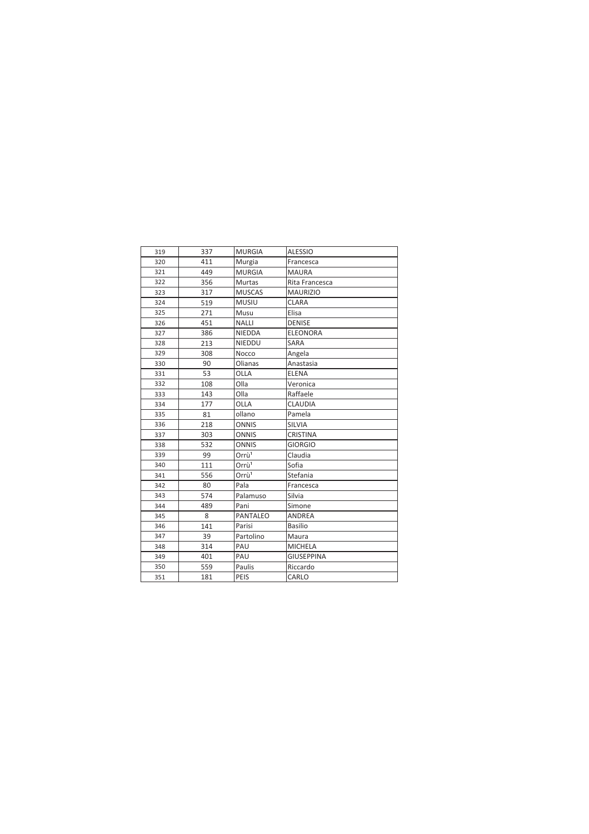| 319 | 337 | <b>MURGIA</b>     | <b>ALESSIO</b>    |
|-----|-----|-------------------|-------------------|
| 320 | 411 | Murgia            | Francesca         |
| 321 | 449 | <b>MURGIA</b>     | <b>MAURA</b>      |
| 322 | 356 | <b>Murtas</b>     | Rita Francesca    |
| 323 | 317 | <b>MUSCAS</b>     | <b>MAURIZIO</b>   |
| 324 | 519 | <b>MUSIU</b>      | <b>CLARA</b>      |
| 325 | 271 | Musu              | Elisa             |
| 326 | 451 | <b>NALLI</b>      | <b>DENISE</b>     |
| 327 | 386 | <b>NIEDDA</b>     | <b>ELEONORA</b>   |
| 328 | 213 | NIEDDU            | SARA              |
| 329 | 308 | Nocco             | Angela            |
| 330 | 90  | Olianas           | Anastasia         |
| 331 | 53  | OLLA              | <b>ELENA</b>      |
| 332 | 108 | Olla              | Veronica          |
| 333 | 143 | Olla              | Raffaele          |
| 334 | 177 | OLLA              | CLAUDIA           |
| 335 | 81  | ollano            | Pamela            |
| 336 | 218 | <b>ONNIS</b>      | <b>SILVIA</b>     |
| 337 | 303 | <b>ONNIS</b>      | <b>CRISTINA</b>   |
| 338 | 532 | <b>ONNIS</b>      | <b>GIORGIO</b>    |
| 339 | 99  | Orrù <sup>1</sup> | Claudia           |
| 340 | 111 | Orrù <sup>1</sup> | Sofia             |
| 341 | 556 | Orrù <sup>1</sup> | Stefania          |
| 342 | 80  | Pala              | Francesca         |
| 343 | 574 | Palamuso          | Silvia            |
| 344 | 489 | Pani              | Simone            |
| 345 | 8   | <b>PANTALEO</b>   | <b>ANDREA</b>     |
| 346 | 141 | Parisi            | Basilio           |
| 347 | 39  | Partolino         | Maura             |
| 348 | 314 | PAU               | <b>MICHELA</b>    |
| 349 | 401 | PAU               | <b>GIUSEPPINA</b> |
| 350 | 559 | Paulis            | Riccardo          |
| 351 | 181 | PEIS              | CARLO             |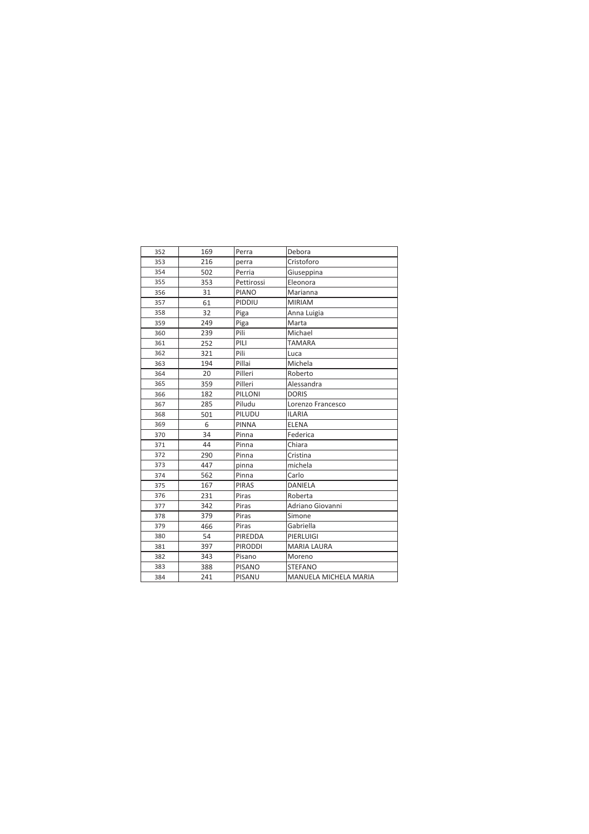| 352 | 169 | Perra          | Debora                |
|-----|-----|----------------|-----------------------|
| 353 | 216 | perra          | Cristoforo            |
| 354 | 502 | Perria         | Giuseppina            |
| 355 | 353 | Pettirossi     | Eleonora              |
| 356 | 31  | <b>PIANO</b>   | Marianna              |
| 357 | 61  | PIDDIU         | <b>MIRIAM</b>         |
| 358 | 32  | Piga           | Anna Luigia           |
| 359 | 249 | Piga           | Marta                 |
| 360 | 239 | Pili           | Michael               |
| 361 | 252 | PILI           | <b>TAMARA</b>         |
| 362 | 321 | Pili           | Luca                  |
| 363 | 194 | Pillai         | Michela               |
| 364 | 20  | Pilleri        | Roberto               |
| 365 | 359 | Pilleri        | Alessandra            |
| 366 | 182 | PILLONI        | <b>DORIS</b>          |
| 367 | 285 | Piludu         | Lorenzo Francesco     |
| 368 | 501 | PILUDU         | <b>ILARIA</b>         |
| 369 | 6   | <b>PINNA</b>   | <b>ELENA</b>          |
| 370 | 34  | Pinna          | Federica              |
| 371 | 44  | Pinna          | Chiara                |
| 372 | 290 | Pinna          | Cristina              |
| 373 | 447 | pinna          | michela               |
| 374 | 562 | Pinna          | Carlo                 |
| 375 | 167 | <b>PIRAS</b>   | <b>DANIELA</b>        |
| 376 | 231 | Piras          | Roberta               |
| 377 | 342 | Piras          | Adriano Giovanni      |
| 378 | 379 | Piras          | Simone                |
| 379 | 466 | Piras          | Gabriella             |
| 380 | 54  | PIREDDA        | PIERLUIGI             |
| 381 | 397 | <b>PIRODDI</b> | <b>MARIA LAURA</b>    |
| 382 | 343 | Pisano         | Moreno                |
| 383 | 388 | <b>PISANO</b>  | <b>STEFANO</b>        |
| 384 | 241 | PISANU         | MANUELA MICHELA MARIA |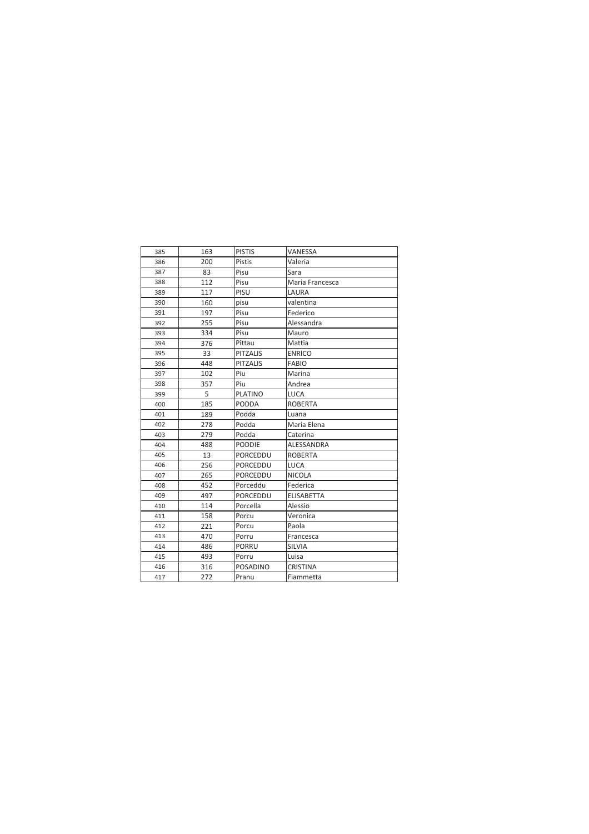| 385 | 163 | <b>PISTIS</b>   | VANESSA           |
|-----|-----|-----------------|-------------------|
| 386 | 200 | <b>Pistis</b>   | Valeria           |
| 387 | 83  | Pisu            | Sara              |
| 388 | 112 | Pisu            | Maria Francesca   |
| 389 | 117 | PISU            | LAURA             |
| 390 | 160 | pisu            | valentina         |
| 391 | 197 | Pisu            | Federico          |
| 392 | 255 | Pisu            | Alessandra        |
| 393 | 334 | Pisu            | Mauro             |
| 394 | 376 | Pittau          | Mattia            |
| 395 | 33  | <b>PITZALIS</b> | <b>ENRICO</b>     |
| 396 | 448 | <b>PITZALIS</b> | <b>FABIO</b>      |
| 397 | 102 | Piu             | Marina            |
| 398 | 357 | Piu             | Andrea            |
| 399 | 5   | <b>PLATINO</b>  | <b>LUCA</b>       |
| 400 | 185 | <b>PODDA</b>    | <b>ROBERTA</b>    |
| 401 | 189 | Podda           | Luana             |
| 402 | 278 | Podda           | Maria Elena       |
| 403 | 279 | Podda           | Caterina          |
| 404 | 488 | <b>PODDIE</b>   | ALESSANDRA        |
| 405 | 13  | PORCEDDU        | <b>ROBERTA</b>    |
| 406 | 256 | PORCEDDU        | LUCA              |
| 407 | 265 | PORCEDDU        | <b>NICOLA</b>     |
| 408 | 452 | Porceddu        | Federica          |
| 409 | 497 | PORCEDDU        | <b>ELISABETTA</b> |
| 410 | 114 | Porcella        | Alessio           |
| 411 | 158 | Porcu           | Veronica          |
| 412 | 221 | Porcu           | Paola             |
| 413 | 470 | Porru           | Francesca         |
| 414 | 486 | <b>PORRU</b>    | <b>SILVIA</b>     |
| 415 | 493 | Porru           | Luisa             |
| 416 | 316 | <b>POSADINO</b> | <b>CRISTINA</b>   |
| 417 | 272 | Pranu           | Fiammetta         |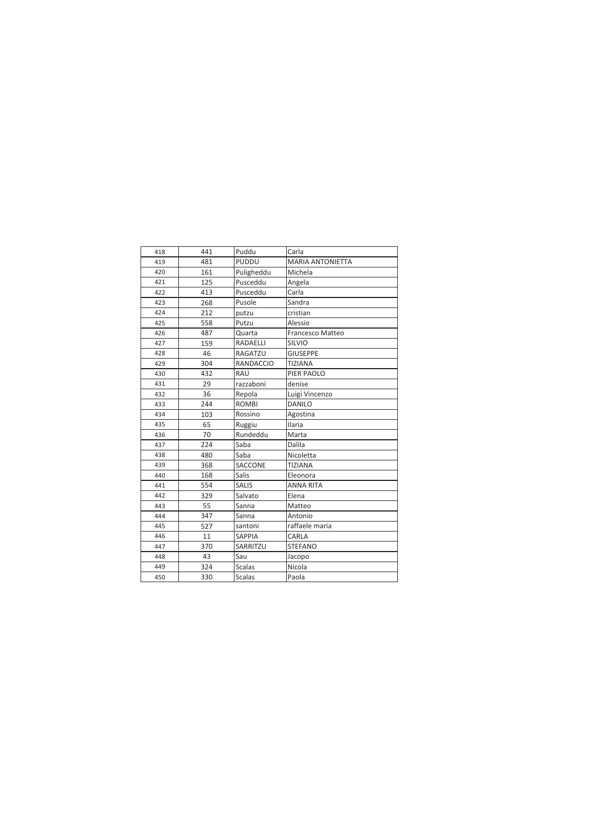| 418 | 441 | Puddu         | Carla                   |
|-----|-----|---------------|-------------------------|
| 419 | 481 | PUDDU         | <b>MARIA ANTONIETTA</b> |
| 420 | 161 | Puligheddu    | Michela                 |
| 421 | 125 | Pusceddu      | Angela                  |
| 422 | 413 | Pusceddu      | Carla                   |
| 423 | 268 | Pusole        | Sandra                  |
| 424 | 212 | putzu         | cristian                |
| 425 | 558 | Putzu         | Alessio                 |
| 426 | 487 | Quarta        | Francesco Matteo        |
| 427 | 159 | RADAELLI      | <b>SILVIO</b>           |
| 428 | 46  | RAGATZU       | <b>GIUSEPPE</b>         |
| 429 | 304 | RANDACCIO     | <b>TIZIANA</b>          |
| 430 | 432 | RAU           | PIER PAOLO              |
| 431 | 29  | razzaboni     | denise                  |
| 432 | 36  | Repola        | Luigi Vincenzo          |
| 433 | 244 | <b>ROMBI</b>  | <b>DANILO</b>           |
| 434 | 103 | Rossino       | Agostina                |
| 435 | 65  | Ruggiu        | <b>Ilaria</b>           |
| 436 | 70  | Rundeddu      | Marta                   |
| 437 | 224 | Saba          | Dalila                  |
| 438 | 480 | Saba          | Nicoletta               |
| 439 | 368 | SACCONE       | <b>TIZIANA</b>          |
| 440 | 168 | <b>Salis</b>  | Eleonora                |
| 441 | 554 | <b>SALIS</b>  | <b>ANNA RITA</b>        |
| 442 | 329 | Salvato       | Elena                   |
| 443 | 55  | Sanna         | Matteo                  |
| 444 | 347 | Sanna         | Antonio                 |
| 445 | 527 | santoni       | raffaele maria          |
| 446 | 11  | SAPPIA        | CARLA                   |
| 447 | 370 | SARRITZU      | <b>STEFANO</b>          |
| 448 | 43  | Sau           | Jacopo                  |
| 449 | 324 | <b>Scalas</b> | Nicola                  |
| 450 | 330 | <b>Scalas</b> | Paola                   |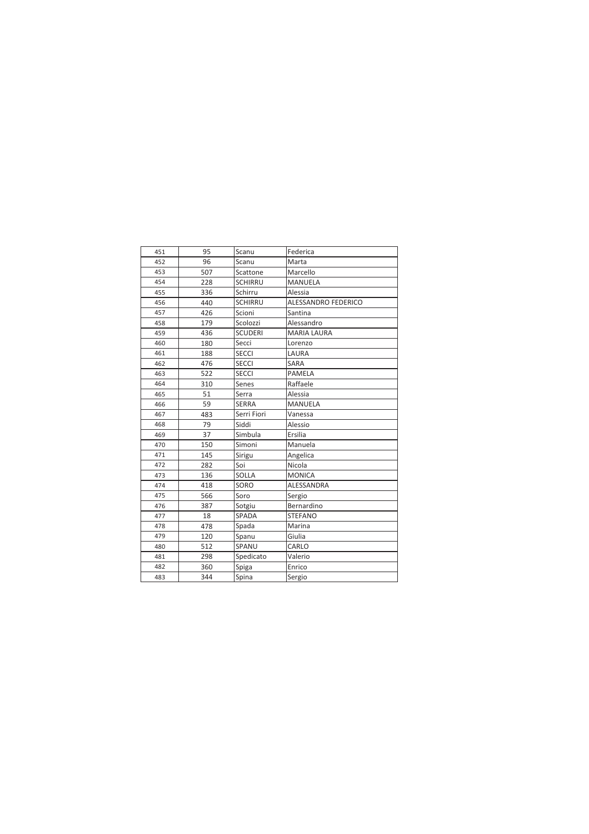| 451 | 95  | Scanu          | Federica            |
|-----|-----|----------------|---------------------|
| 452 | 96  | Scanu          | Marta               |
| 453 | 507 | Scattone       | Marcello            |
| 454 | 228 | <b>SCHIRRU</b> | <b>MANUELA</b>      |
| 455 | 336 | Schirru        | Alessia             |
| 456 | 440 | <b>SCHIRRU</b> | ALESSANDRO FEDERICO |
| 457 | 426 | Scioni         | Santina             |
| 458 | 179 | Scolozzi       | Alessandro          |
| 459 | 436 | <b>SCUDERI</b> | <b>MARIA LAURA</b>  |
| 460 | 180 | Secci          | Lorenzo             |
| 461 | 188 | <b>SECCI</b>   | LAURA               |
| 462 | 476 | <b>SECCI</b>   | <b>SARA</b>         |
| 463 | 522 | <b>SECCI</b>   | PAMELA              |
| 464 | 310 | Senes          | Raffaele            |
| 465 | 51  | Serra          | Alessia             |
| 466 | 59  | <b>SERRA</b>   | <b>MANUELA</b>      |
| 467 | 483 | Serri Fiori    | Vanessa             |
| 468 | 79  | Siddi          | Alessio             |
| 469 | 37  | Simbula        | Ersilia             |
| 470 | 150 | Simoni         | Manuela             |
| 471 | 145 | Sirigu         | Angelica            |
| 472 | 282 | Soi            | Nicola              |
| 473 | 136 | <b>SOLLA</b>   | <b>MONICA</b>       |
| 474 | 418 | SORO           | ALESSANDRA          |
| 475 | 566 | Soro           | Sergio              |
| 476 | 387 | Sotgiu         | Bernardino          |
| 477 | 18  | SPADA          | <b>STEFANO</b>      |
| 478 | 478 | Spada          | Marina              |
| 479 | 120 | Spanu          | Giulia              |
| 480 | 512 | SPANU          | CARLO               |
| 481 | 298 | Spedicato      | Valerio             |
| 482 | 360 | Spiga          | Enrico              |
| 483 | 344 | Spina          | Sergio              |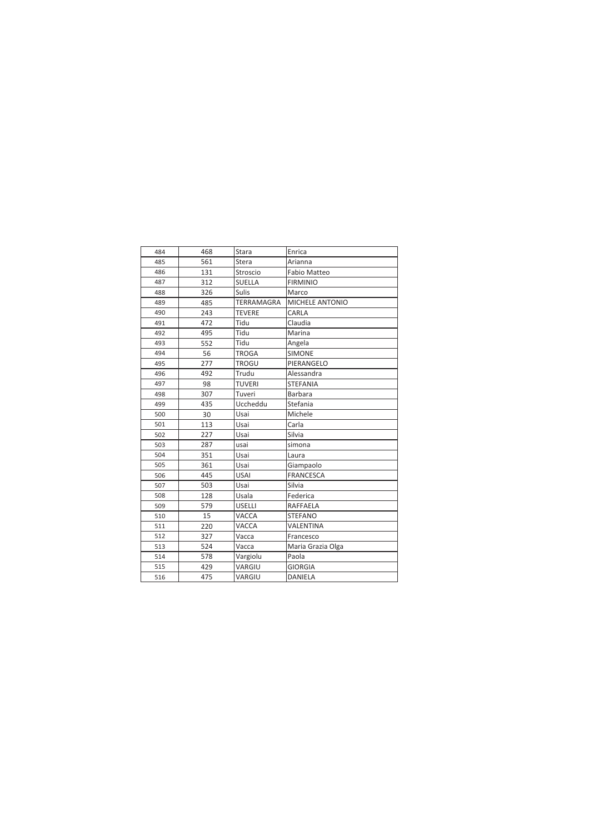| 484 | 468 | Stara         | Enrica              |
|-----|-----|---------------|---------------------|
| 485 | 561 | Stera         | Arianna             |
| 486 | 131 | Stroscio      | <b>Fabio Matteo</b> |
| 487 | 312 | <b>SUELLA</b> | <b>FIRMINIO</b>     |
| 488 | 326 | <b>Sulis</b>  | Marco               |
| 489 | 485 | TERRAMAGRA    | MICHELE ANTONIO     |
| 490 | 243 | <b>TEVERE</b> | CARLA               |
| 491 | 472 | Tidu          | Claudia             |
| 492 | 495 | Tidu          | Marina              |
| 493 | 552 | Tidu          | Angela              |
| 494 | 56  | <b>TROGA</b>  | <b>SIMONE</b>       |
| 495 | 277 | <b>TROGU</b>  | PIERANGELO          |
| 496 | 492 | Trudu         | Alessandra          |
| 497 | 98  | <b>TUVERI</b> | <b>STEFANIA</b>     |
| 498 | 307 | Tuveri        | <b>Barbara</b>      |
| 499 | 435 | Uccheddu      | Stefania            |
| 500 | 30  | Usai          | Michele             |
| 501 | 113 | Usai          | Carla               |
| 502 | 227 | Usai          | Silvia              |
| 503 | 287 | usai          | simona              |
| 504 | 351 | Usai          | Laura               |
| 505 | 361 | Usai          | Giampaolo           |
| 506 | 445 | <b>USAI</b>   | <b>FRANCESCA</b>    |
| 507 | 503 | Usai          | Silvia              |
| 508 | 128 | Usala         | Federica            |
| 509 | 579 | <b>USELLI</b> | RAFFAELA            |
| 510 | 15  | VACCA         | <b>STEFANO</b>      |
| 511 | 220 | VACCA         | VALENTINA           |
| 512 | 327 | Vacca         | Francesco           |
| 513 | 524 | Vacca         | Maria Grazia Olga   |
| 514 | 578 | Vargiolu      | Paola               |
| 515 | 429 | VARGIU        | <b>GIORGIA</b>      |
| 516 | 475 | VARGIU        | DANIELA             |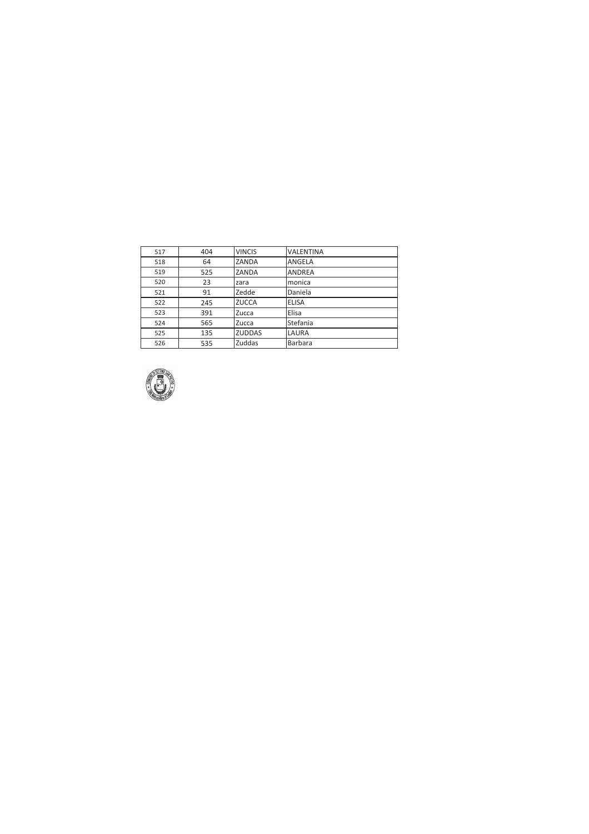| 517 | 404 | <b>VINCIS</b> | <b>VALENTINA</b> |
|-----|-----|---------------|------------------|
| 518 | 64  | ZANDA         | ANGELA           |
| 519 | 525 | ZANDA         | ANDREA           |
| 520 | 23  | zara          | monica           |
| 521 | 91  | Zedde         | Daniela          |
| 522 | 245 | <b>ZUCCA</b>  | <b>ELISA</b>     |
| 523 | 391 | Zucca         | Elisa            |
| 524 | 565 | Zucca         | Stefania         |
| 525 | 135 | <b>ZUDDAS</b> | LAURA            |
| 526 | 535 | Zuddas        | Barbara          |

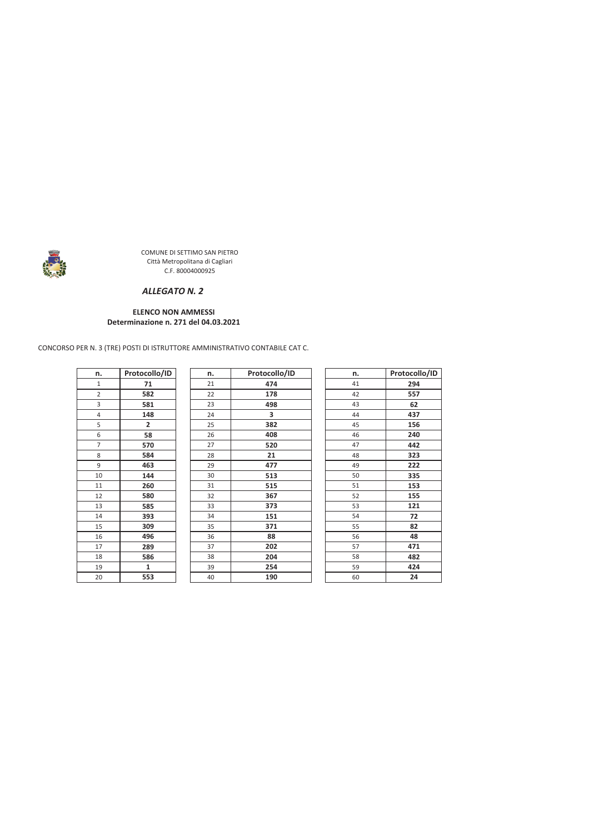

#### ALLEGATO N. 2

#### **ELENCO NON AMMESSI** Determinazione n. 271 del 04.03.2021

CONCORSO PER N. 3 (TRE) POSTI DI ISTRUTTORE AMMINISTRATIVO CONTABILE CAT C.

| n. | Protocollo/ID |  |
|----|---------------|--|
| 1  | 71            |  |
| 2  | 582           |  |
| 3  | 581           |  |
| 4  | 148           |  |
| 5  | 2             |  |
| 6  | 58            |  |
| 7  | 570           |  |
| 8  | 584           |  |
| 9  | 463           |  |
| 10 | 144           |  |
| 11 | 260           |  |
| 12 | 580           |  |
| 13 | 585           |  |
| 14 | 393           |  |
| 15 | 309           |  |
| 16 | 496           |  |
| 17 | 289           |  |
| 18 | 586           |  |
| 19 | 1             |  |
| 20 | 553           |  |

| n. | Protocollo/ID |
|----|---------------|
| 21 | 474           |
| 22 | 178           |
| 23 | 498           |
| 24 | 3             |
| 25 | 382           |
| 26 | 408           |
| 27 | 520           |
| 28 | 21            |
| 29 | 477           |
| 30 | 513           |
| 31 | 515           |
| 32 | 367           |
| 33 | 373           |
| 34 | 151           |
| 35 | 371           |
| 36 | 88            |
| 37 | 202           |
| 38 | 204           |
| 39 | 254           |
| 40 | 190           |

| n. | Protocollo/ID |
|----|---------------|
| 41 | 294           |
| 42 | 557           |
| 43 | 62            |
| 44 | 437           |
| 45 | 156           |
| 46 | 240           |
| 47 | 442           |
| 48 | 323           |
| 49 | 222           |
| 50 | 335           |
| 51 | 153           |
| 52 | 155           |
| 53 | 121           |
| 54 | 72            |
| 55 | 82            |
| 56 | 48            |
| 57 | 471           |
| 58 | 482           |
| 59 | 424           |
| 60 | 24            |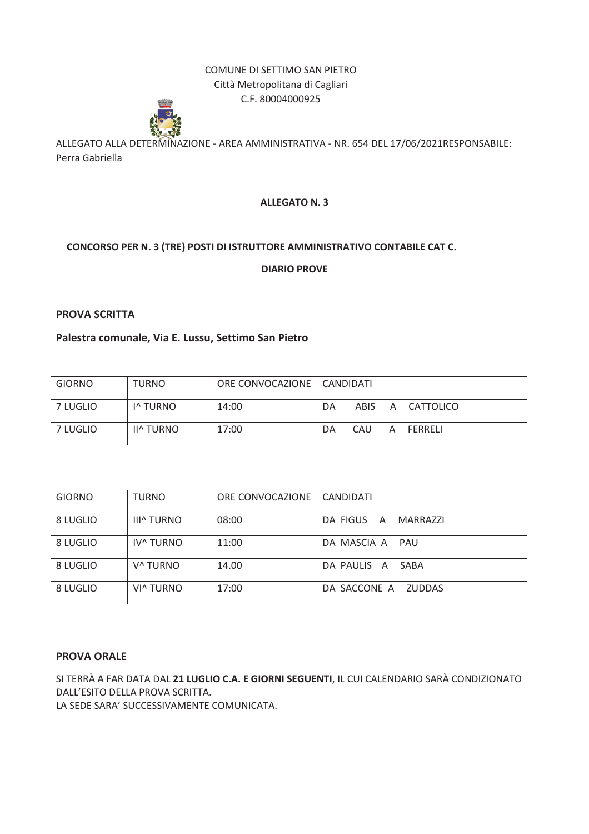

ALLEGATO ALLA DETERMINAZIONE - AREA AMMINISTRATIVA - NR. 654 DEL 17/06/2021RESPONSABILE: Perra Gabriella

# **ALLEGATO N. 3**

# CONCORSO PER N. 3 (TRE) POSTI DI ISTRUTTORE AMMINISTRATIVO CONTABILE CAT C.

**DIARIO PROVE** 

# **PROVA SCRITTA**

# Palestra comunale, Via E. Lussu, Settimo San Pietro

| <b>GIORNO</b> | <b>TURNO</b>         | ORE CONVOCAZIONE   CANDIDATI |    |      |   |             |
|---------------|----------------------|------------------------------|----|------|---|-------------|
| 7 LUGLIO      | I <sup>^</sup> TURNO | 14:00                        | DA | ABIS |   | A CATTOLICO |
| 7 LUGLIO      | <b>II^ TURNO</b>     | 17:00                        | DA | CAU  | A | FERRELI     |

| <b>GIORNO</b> | <b>TURNO</b>          | ORE CONVOCAZIONE | CANDIDATI                     |
|---------------|-----------------------|------------------|-------------------------------|
| 8 LUGLIO      | <b>III^ TURNO</b>     | 08:00            | DA FIGUS<br>MARRAZZI<br>A     |
| 8 LUGLIO      | IV <sup>A</sup> TURNO | 11:00            | DA MASCIA A<br>PAU            |
| 8 LUGLIO      | V <sup>^</sup> TURNO  | 14.00            | DA PAULIS A SABA              |
| 8 LUGLIO      | VI^ TURNO             | 17:00            | DA SACCONE A<br><b>ZUDDAS</b> |

#### **PROVA ORALE**

SI TERRÀ A FAR DATA DAL 21 LUGLIO C.A. E GIORNI SEGUENTI, IL CUI CALENDARIO SARÀ CONDIZIONATO DALL'ESITO DELLA PROVA SCRITTA. LA SEDE SARA' SUCCESSIVAMENTE COMUNICATA.